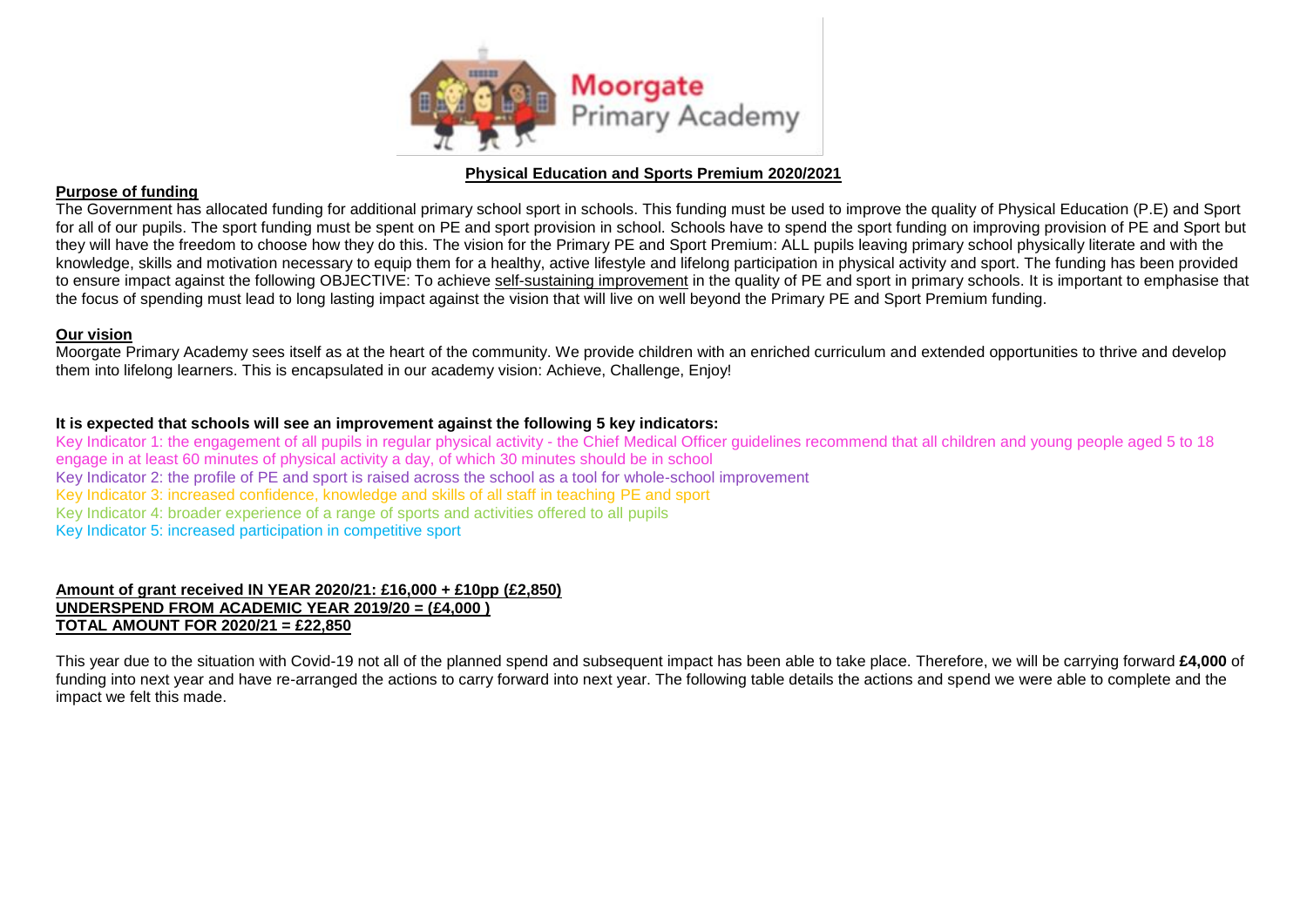

# **Physical Education and Sports Premium 2020/2021**

# **Purpose of funding**

The Government has allocated funding for additional primary school sport in schools. This funding must be used to improve the quality of Physical Education (P.E) and Sport for all of our pupils. The sport funding must be spent on PE and sport provision in school. Schools have to spend the sport funding on improving provision of PE and Sport but they will have the freedom to choose how they do this. The vision for the Primary PE and Sport Premium: ALL pupils leaving primary school physically literate and with the knowledge, skills and motivation necessary to equip them for a healthy, active lifestyle and lifelong participation in physical activity and sport. The funding has been provided to ensure impact against the following OBJECTIVE: To achieve self-sustaining improvement in the quality of PE and sport in primary schools. It is important to emphasise that the focus of spending must lead to long lasting impact against the vision that will live on well beyond the Primary PE and Sport Premium funding.

# **Our vision**

Moorgate Primary Academy sees itself as at the heart of the community. We provide children with an enriched curriculum and extended opportunities to thrive and develop them into lifelong learners. This is encapsulated in our academy vision: Achieve, Challenge, Enjoy!

# **It is expected that schools will see an improvement against the following 5 key indicators:**

Key Indicator 1: the engagement of all pupils in regular physical activity - the Chief Medical Officer guidelines recommend that all children and young people aged 5 to 18 engage in at least 60 minutes of physical activity a day, of which 30 minutes should be in school Key Indicator 2: the profile of PE and sport is raised across the school as a tool for whole-school improvement Key Indicator 3: increased confidence, knowledge and skills of all staff in teaching PE and sport Key Indicator 4: broader experience of a range of sports and activities offered to all pupils Key Indicator 5: increased participation in competitive sport

#### **Amount of grant received IN YEAR 2020/21: £16,000 + £10pp (£2,850) UNDERSPEND FROM ACADEMIC YEAR 2019/20 = (£4,000 ) TOTAL AMOUNT FOR 2020/21 = £22,850**

This year due to the situation with Covid-19 not all of the planned spend and subsequent impact has been able to take place. Therefore, we will be carrying forward **£4,000** of funding into next year and have re-arranged the actions to carry forward into next year. The following table details the actions and spend we were able to complete and the impact we felt this made.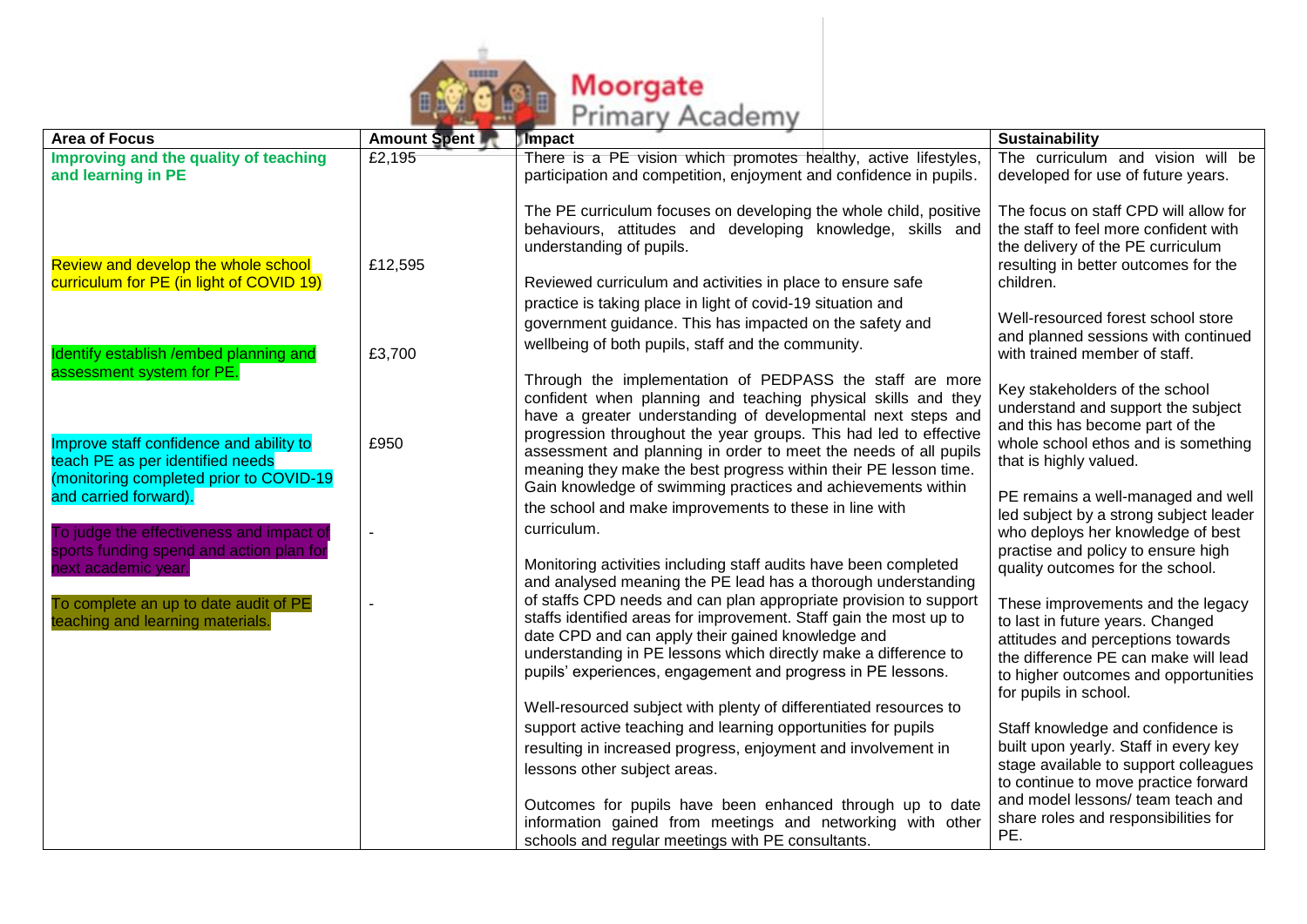

| <b>Area of Focus</b>                                                                                                                                     | <b>Amount Spent</b> | <b>Impact</b>                                                                                                                                                                                                                                                                                                                                                                                          | <b>Sustainability</b>                                                                                                                                                                                               |
|----------------------------------------------------------------------------------------------------------------------------------------------------------|---------------------|--------------------------------------------------------------------------------------------------------------------------------------------------------------------------------------------------------------------------------------------------------------------------------------------------------------------------------------------------------------------------------------------------------|---------------------------------------------------------------------------------------------------------------------------------------------------------------------------------------------------------------------|
| Improving and the quality of teaching<br>and learning in PE                                                                                              | £2,195              | There is a PE vision which promotes healthy, active lifestyles,<br>participation and competition, enjoyment and confidence in pupils.                                                                                                                                                                                                                                                                  | The curriculum and vision will be<br>developed for use of future years.                                                                                                                                             |
| Review and develop the whole school<br>curriculum for PE (in light of COVID 19)                                                                          | £12,595             | The PE curriculum focuses on developing the whole child, positive<br>behaviours, attitudes and developing knowledge, skills and<br>understanding of pupils.<br>Reviewed curriculum and activities in place to ensure safe<br>practice is taking place in light of covid-19 situation and                                                                                                               | The focus on staff CPD will allow for<br>the staff to feel more confident with<br>the delivery of the PE curriculum<br>resulting in better outcomes for the<br>children.                                            |
| Identify establish / embed planning and                                                                                                                  | £3,700              | government guidance. This has impacted on the safety and<br>wellbeing of both pupils, staff and the community.                                                                                                                                                                                                                                                                                         | Well-resourced forest school store<br>and planned sessions with continued<br>with trained member of staff.                                                                                                          |
| assessment system for PE.<br>Improve staff confidence and ability to<br>teach PE as per identified needs                                                 | £950                | Through the implementation of PEDPASS the staff are more<br>confident when planning and teaching physical skills and they<br>have a greater understanding of developmental next steps and<br>progression throughout the year groups. This had led to effective<br>assessment and planning in order to meet the needs of all pupils<br>meaning they make the best progress within their PE lesson time. | Key stakeholders of the school<br>understand and support the subject<br>and this has become part of the<br>whole school ethos and is something<br>that is highly valued.                                            |
| (monitoring completed prior to COVID-19<br>and carried forward).<br>To judge the effectiveness and impact of<br>sports funding spend and action plan for |                     | Gain knowledge of swimming practices and achievements within<br>the school and make improvements to these in line with<br>curriculum.                                                                                                                                                                                                                                                                  | PE remains a well-managed and well<br>led subject by a strong subject leader<br>who deploys her knowledge of best<br>practise and policy to ensure high                                                             |
| next academic year.                                                                                                                                      |                     | Monitoring activities including staff audits have been completed<br>and analysed meaning the PE lead has a thorough understanding<br>of staffs CPD needs and can plan appropriate provision to support                                                                                                                                                                                                 | quality outcomes for the school.                                                                                                                                                                                    |
| To complete an up to date audit of PE<br>teaching and learning materials.                                                                                |                     | staffs identified areas for improvement. Staff gain the most up to<br>date CPD and can apply their gained knowledge and<br>understanding in PE lessons which directly make a difference to<br>pupils' experiences, engagement and progress in PE lessons.<br>Well-resourced subject with plenty of differentiated resources to                                                                         | These improvements and the legacy<br>to last in future years. Changed<br>attitudes and perceptions towards<br>the difference PE can make will lead<br>to higher outcomes and opportunities<br>for pupils in school. |
|                                                                                                                                                          |                     | support active teaching and learning opportunities for pupils<br>resulting in increased progress, enjoyment and involvement in<br>lessons other subject areas.                                                                                                                                                                                                                                         | Staff knowledge and confidence is<br>built upon yearly. Staff in every key<br>stage available to support colleagues<br>to continue to move practice forward                                                         |
|                                                                                                                                                          |                     | Outcomes for pupils have been enhanced through up to date<br>information gained from meetings and networking with other<br>schools and regular meetings with PE consultants.                                                                                                                                                                                                                           | and model lessons/ team teach and<br>share roles and responsibilities for<br>PE.                                                                                                                                    |